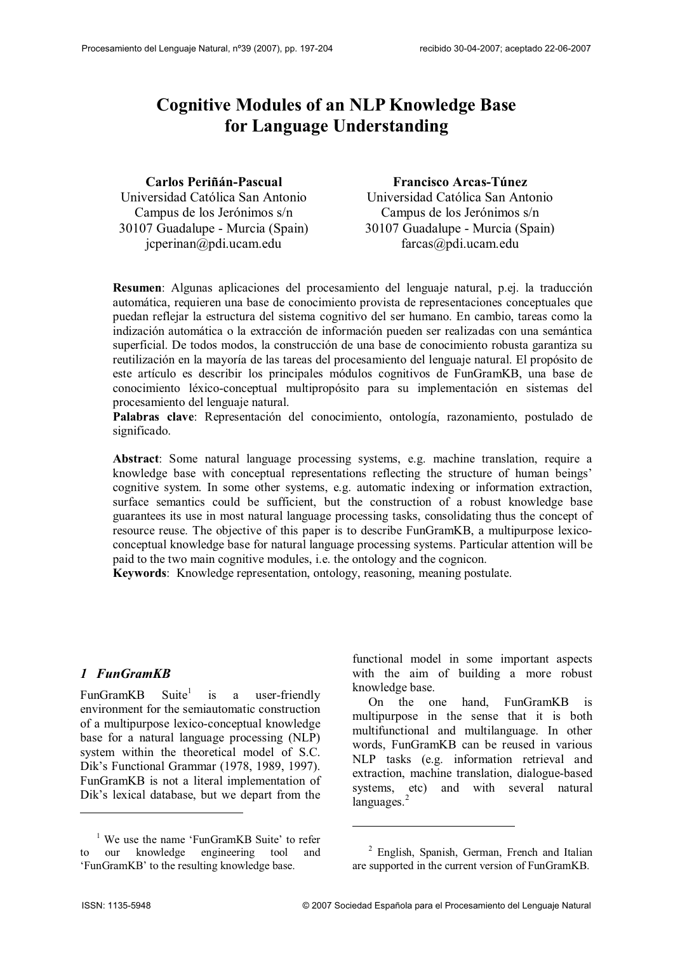# **Cognitive Modules of an NLP Knowledge Base for Language Understanding**

**Carlos Periñán-Pascual** Universidad Católica San Antonio Campus de los Jerónimos s/n 30107 Guadalupe - Murcia (Spain) jcperinan@pdi.ucam.edu

**Francisco Arcas-Túnez** Universidad Católica San Antonio Campus de los Jerónimos s/n 30107 Guadalupe - Murcia (Spain) farcas@pdi.ucam.edu

**Resumen**: Algunas aplicaciones del procesamiento del lenguaje natural, p.ej. la traducción automática, requieren una base de conocimiento provista de representaciones conceptuales que puedan reflejar la estructura del sistema cognitivo del ser humano. En cambio, tareas como la indización automática o la extracción de información pueden ser realizadas con una semántica superficial. De todos modos, la construcción de una base de conocimiento robusta garantiza su reutilización en la mayoría de las tareas del procesamiento del lenguaje natural. El propósito de este artículo es describir los principales módulos cognitivos de FunGramKB, una base de conocimiento léxico-conceptual multipropósito para su implementación en sistemas del procesamiento del lenguaje natural.

**Palabras clave**: Representación del conocimiento, ontología, razonamiento, postulado de significado.

**Abstract**: Some natural language processing systems, e.g. machine translation, require a knowledge base with conceptual representations reflecting the structure of human beings' cognitive system. In some other systems, e.g. automatic indexing or information extraction, surface semantics could be sufficient, but the construction of a robust knowledge base guarantees its use in most natural language processing tasks, consolidating thus the concept of resource reuse. The objective of this paper is to describe FunGramKB, a multipurpose lexicoconceptual knowledge base for natural language processing systems. Particular attention will be paid to the two main cognitive modules, i.e. the ontology and the cognicon.

**Keywords**: Knowledge representation, ontology, reasoning, meaning postulate.

#### *1 FunGramKB*

 $FunGramKB$  Suite<sup>1</sup> is a user-friendly environment for the semiautomatic construction of a multipurpose lexico-conceptual knowledge base for a natural language processing (NLP) system within the theoretical model of S.C. Dik's Functional Grammar (1978, 1989, 1997). FunGramKB is not a literal implementation of Dik's lexical database, but we depart from the functional model in some important aspects with the aim of building a more robust knowledge base.

On the one hand, FunGramKB is multipurpose in the sense that it is both multifunctional and multilanguage. In other words, FunGramKB can be reused in various NLP tasks (e.g. information retrieval and extraction, machine translation, dialogue-based systems, etc) and with several natural languages.<sup>2</sup>

<sup>&</sup>lt;sup>1</sup> We use the name 'FunGramKB Suite' to refer to our knowledge engineering tool and 'FunGramKB' to the resulting knowledge base.

<sup>2</sup> English, Spanish, German, French and Italian are supported in the current version of FunGramKB.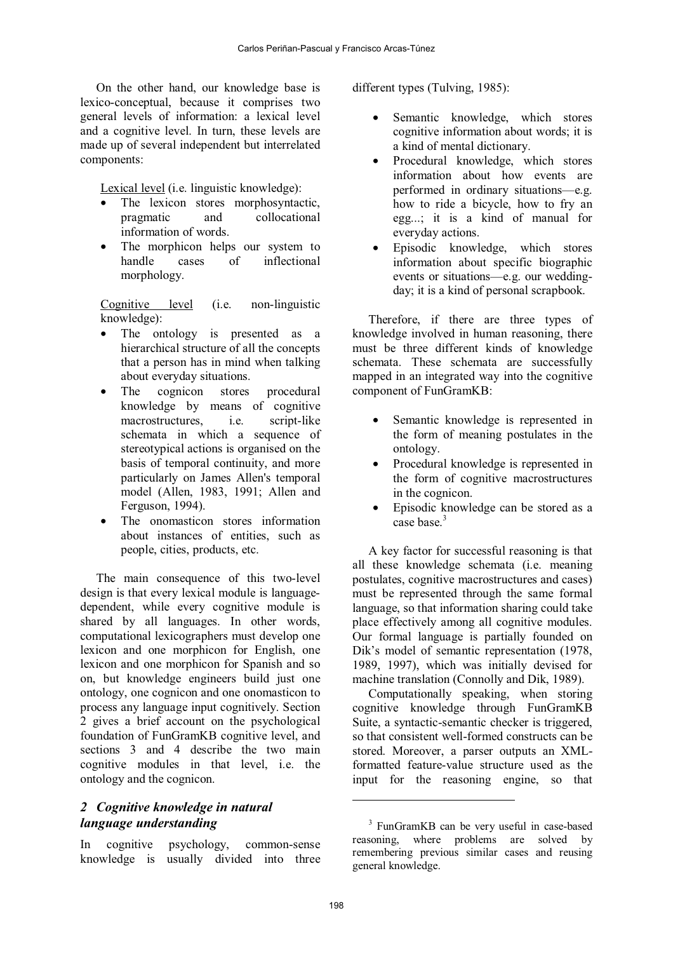On the other hand, our knowledge base is lexico-conceptual, because it comprises two general levels of information: a lexical level and a cognitive level. In turn, these levels are made up of several independent but interrelated components:

Lexical level (i.e. linguistic knowledge):

- The lexicon stores morphosyntactic, pragmatic and collocational information of words.
- The morphicon helps our system to handle cases of inflectional morphology.

Cognitive level (i.e. non-linguistic knowledge):

- The ontology is presented as a hierarchical structure of all the concepts that a person has in mind when talking about everyday situations.
- The cognicon stores procedural knowledge by means of cognitive macrostructures, i.e. script-like schemata in which a sequence of stereotypical actions is organised on the basis of temporal continuity, and more particularly on James Allen's temporal model (Allen, 1983, 1991; Allen and Ferguson, 1994).
- The onomasticon stores information about instances of entities, such as people, cities, products, etc.

The main consequence of this two-level design is that every lexical module is languagedependent, while every cognitive module is shared by all languages. In other words, computational lexicographers must develop one lexicon and one morphicon for English, one lexicon and one morphicon for Spanish and so on, but knowledge engineers build just one ontology, one cognicon and one onomasticon to process any language input cognitively. Section 2 gives a brief account on the psychological foundation of FunGramKB cognitive level, and sections 3 and 4 describe the two main cognitive modules in that level, i.e. the ontology and the cognicon.

### *2 Cognitive knowledge in natural language understanding*

In cognitive psychology, common-sense knowledge is usually divided into three different types (Tulving, 1985):

- Semantic knowledge, which stores cognitive information about words; it is a kind of mental dictionary.
- Procedural knowledge, which stores information about how events are performed in ordinary situations—e.g. how to ride a bicycle, how to fry an egg...; it is a kind of manual for everyday actions.
- Episodic knowledge, which stores information about specific biographic events or situations—e.g. our weddingday; it is a kind of personal scrapbook.

Therefore, if there are three types of knowledge involved in human reasoning, there must be three different kinds of knowledge schemata. These schemata are successfully mapped in an integrated way into the cognitive component of FunGramKB:

- Semantic knowledge is represented in the form of meaning postulates in the ontology.
- Procedural knowledge is represented in the form of cognitive macrostructures in the cognicon.
- Episodic knowledge can be stored as a case base<sup>3</sup>

A key factor for successful reasoning is that all these knowledge schemata (i.e. meaning postulates, cognitive macrostructures and cases) must be represented through the same formal language, so that information sharing could take place effectively among all cognitive modules. Our formal language is partially founded on Dik's model of semantic representation (1978, 1989, 1997), which was initially devised for machine translation (Connolly and Dik, 1989).

Computationally speaking, when storing cognitive knowledge through FunGramKB Suite, a syntactic-semantic checker is triggered, so that consistent well-formed constructs can be stored. Moreover, a parser outputs an XMLformatted feature-value structure used as the input for the reasoning engine, so that

<sup>&</sup>lt;sup>3</sup> FunGramKB can be very useful in case-based reasoning, where problems are solved by remembering previous similar cases and reusing general knowledge.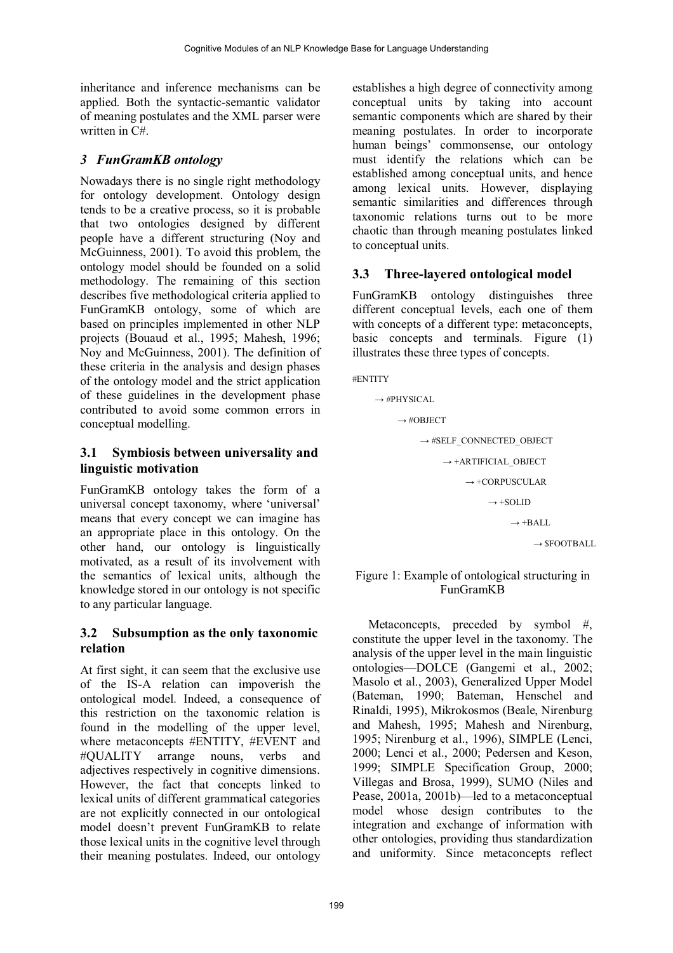inheritance and inference mechanisms can be applied. Both the syntactic-semantic validator of meaning postulates and the XML parser were written in C#.

# *3 FunGramKB ontology*

Nowadays there is no single right methodology for ontology development. Ontology design tends to be a creative process, so it is probable that two ontologies designed by different people have a different structuring (Noy and McGuinness, 2001). To avoid this problem, the ontology model should be founded on a solid methodology. The remaining of this section describes five methodological criteria applied to FunGramKB ontology, some of which are based on principles implemented in other NLP projects (Bouaud et al., 1995; Mahesh, 1996; Noy and McGuinness, 2001). The definition of these criteria in the analysis and design phases of the ontology model and the strict application of these guidelines in the development phase contributed to avoid some common errors in conceptual modelling.

# **3.1 Symbiosis between universality and linguistic motivation**

FunGramKB ontology takes the form of a universal concept taxonomy, where 'universal' means that every concept we can imagine has an appropriate place in this ontology. On the other hand, our ontology is linguistically motivated, as a result of its involvement with the semantics of lexical units, although the knowledge stored in our ontology is not specific to any particular language.

# **3.2 Subsumption as the only taxonomic relation**

At first sight, it can seem that the exclusive use of the IS-A relation can impoverish the ontological model. Indeed, a consequence of this restriction on the taxonomic relation is found in the modelling of the upper level, where metaconcepts #ENTITY, #EVENT and #QUALITY arrange nouns, verbs and adjectives respectively in cognitive dimensions. However, the fact that concepts linked to lexical units of different grammatical categories are not explicitly connected in our ontological model doesn't prevent FunGramKB to relate those lexical units in the cognitive level through their meaning postulates. Indeed, our ontology

establishes a high degree of connectivity among conceptual units by taking into account semantic components which are shared by their meaning postulates. In order to incorporate human beings' commonsense, our ontology must identify the relations which can be established among conceptual units, and hence among lexical units. However, displaying semantic similarities and differences through taxonomic relations turns out to be more chaotic than through meaning postulates linked to conceptual units.

# **3.3 Three-layered ontological model**

FunGramKB ontology distinguishes three different conceptual levels, each one of them with concepts of a different type: metaconcepts, basic concepts and terminals. Figure (1) illustrates these three types of concepts.

#ENTITY

$$
\rightarrow \#PHYSICAL
$$
\n
$$
\rightarrow \#OBIECT
$$
\n
$$
\rightarrow \#SELF\_CONNECTED\_OBIECT
$$
\n
$$
\rightarrow \text{+ARTIFICIAL}\_OBIECT
$$
\n
$$
\rightarrow \text{+CORPUSCULAR}
$$
\n
$$
\rightarrow \text{+SOLID}
$$
\n
$$
\rightarrow \text{+BALL}
$$
\n
$$
\rightarrow \text{SFOOTBALL}
$$

#### Figure 1: Example of ontological structuring in FunGramKB

Metaconcepts, preceded by symbol #, constitute the upper level in the taxonomy. The analysis of the upper level in the main linguistic ontologies—DOLCE (Gangemi et al., 2002; Masolo et al., 2003), Generalized Upper Model (Bateman, 1990; Bateman, Henschel and Rinaldi, 1995), Mikrokosmos (Beale, Nirenburg and Mahesh, 1995; Mahesh and Nirenburg, 1995; Nirenburg et al., 1996), SIMPLE (Lenci, 2000; Lenci et al., 2000; Pedersen and Keson, 1999; SIMPLE Specification Group, 2000; Villegas and Brosa, 1999), SUMO (Niles and Pease, 2001a, 2001b)—led to a metaconceptual model whose design contributes to the integration and exchange of information with other ontologies, providing thus standardization and uniformity. Since metaconcepts reflect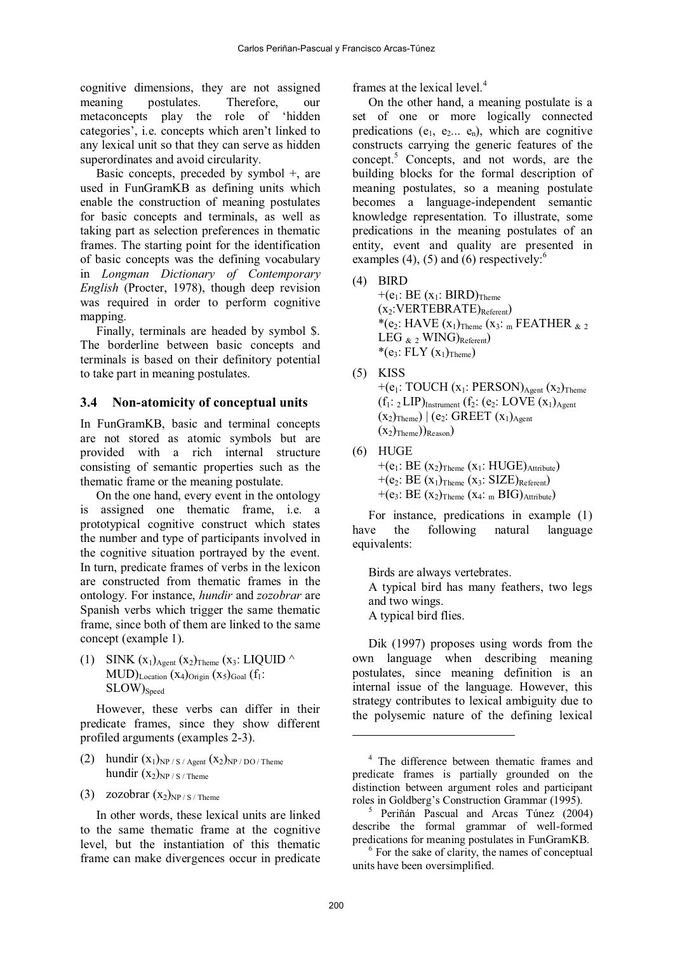cognitive dimensions, they are not assigned meaning postulates. Therefore, our metaconcepts play the role of 'hidden categories', i.e. concepts which aren't linked to any lexical unit so that they can serve as hidden superordinates and avoid circularity.

Basic concepts, preceded by symbol  $+$ , are used in FunGramKB as defining units which enable the construction of meaning postulates for basic concepts and terminals, as well as taking part as selection preferences in thematic frames. The starting point for the identification of basic concepts was the defining vocabulary in *Longman Dictionary of Contemporary English* (Procter, 1978), though deep revision was required in order to perform cognitive mapping.

Finally, terminals are headed by symbol \$. The borderline between basic concepts and terminals is based on their definitory potential to take part in meaning postulates.

#### **3.4 Non-atomicity of conceptual units**

In FunGramKB, basic and terminal concepts are not stored as atomic symbols but are provided with a rich internal structure consisting of semantic properties such as the thematic frame or the meaning postulate.

On the one hand, every event in the ontology is assigned one thematic frame, i.e. a prototypical cognitive construct which states the number and type of participants involved in the cognitive situation portrayed by the event. In turn, predicate frames of verbs in the lexicon are constructed from thematic frames in the ontology. For instance, *hundir* and *zozobrar* are Spanish verbs which trigger the same thematic frame, since both of them are linked to the same concept (example 1).

(1) SINK  $(x_1)_{Agent} (x_2)_{Theme} (x_3: LIQUID \wedge$  $MUD)$ <sub>Location</sub>  $(x_4)$ <sub>Origin</sub>  $(x_5)$ <sub>Goal</sub>  $(f_1$ : SLOW)<sub>Speed</sub>

However, these verbs can differ in their predicate frames, since they show different profiled arguments (examples 2-3).

- (2) hundir  $(x_1)_{NP/S/Agent}$   $(x_2)_{NP/DO/Thene}$ hundir  $(x_2)_{NP / S / Theme}$
- (3) zozobrar  $(x_2)_{NP/S/Theme}$

In other words, these lexical units are linked to the same thematic frame at the cognitive level, but the instantiation of this thematic frame can make divergences occur in predicate frames at the lexical level.<sup>4</sup>

On the other hand, a meaning postulate is a set of one or more logically connected predications ( $e_1$ ,  $e_2$ ...  $e_n$ ), which are cognitive constructs carrying the generic features of the concept.<sup>5</sup> Concepts, and not words, are the building blocks for the formal description of meaning postulates, so a meaning postulate becomes a language-independent semantic knowledge representation. To illustrate, some predications in the meaning postulates of an entity, event and quality are presented in examples (4), (5) and (6) respectively: $6$ 

(4) BIRD

 $+(e_1: BE (x_1: BIRD)_{Theme}$  $(x_2:VERTEBRATE)_{Referent})$ \*(e<sub>2</sub>: HAVE  $(x_1)$ <sub>Theme</sub>  $(x_3:$  m FEATHER  $_{8/2}$ LEG  $_{\&}$  2 WING)<sub>Referent</sub>) \* $(e_3: FLY(x_1)_{Theme})$ 

(5) KISS

+( $e_1$ : TOUCH ( $x_1$ : PERSON) $_{Agent}$  ( $x_2$ )<sub>Theme</sub>  $(f_1: 2LIP)$ Instrument  $(f_2: (e_2: LOVE(x_1))_{Agent}$  $(x_2)$ <sub>Theme</sub>)  $(e_2$ : GREET  $(x_1)_{Agent}$  $(X_2)$ <sub>Theme</sub> $)$ <sub>Reason</sub> $)$ 

(6) HUGE  $+(e_1: BE (x_2)_{Theme} (x_1: HUGE)_{Attible})$  $+(e_2: BE (x_1)_{\text{Theme}} (x_3: SIZE)_{\text{Referent}})$ +(e<sub>3</sub>: BE  $(x_2)$ <sub>Theme</sub>  $(x_4:$  m BIG)<sub>Attribute</sub>)

For instance, predications in example (1) have the following natural language equivalents:

Birds are always vertebrates. A typical bird has many feathers, two legs and two wings. A typical bird flies.

Dik (1997) proposes using words from the own language when describing meaning postulates, since meaning definition is an internal issue of the language. However, this strategy contributes to lexical ambiguity due to the polysemic nature of the defining lexical

<sup>&</sup>lt;sup>4</sup> The difference between thematic frames and predicate frames is partially grounded on the distinction between argument roles and participant roles in Goldberg's Construction Grammar (1995).

<sup>5</sup> Periñán Pascual and Arcas Túnez (2004) describe the formal grammar of well-formed predications for meaning postulates in FunGramKB.

<sup>&</sup>lt;sup>6</sup> For the sake of clarity, the names of conceptual units have been oversimplified.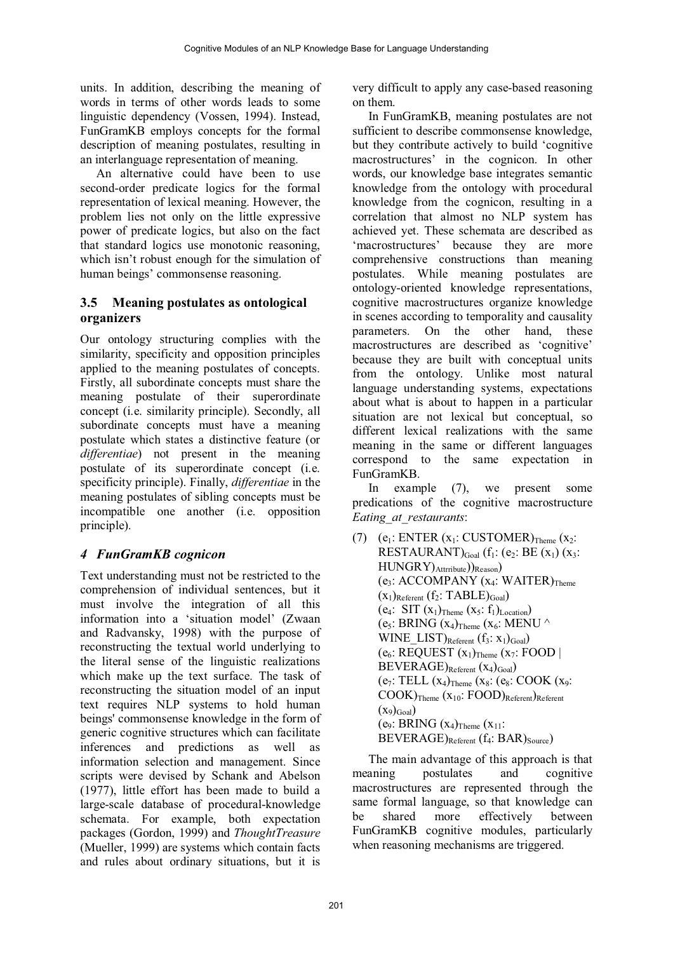units. In addition, describing the meaning of words in terms of other words leads to some linguistic dependency (Vossen, 1994). Instead, FunGramKB employs concepts for the formal description of meaning postulates, resulting in an interlanguage representation of meaning.

An alternative could have been to use second-order predicate logics for the formal representation of lexical meaning. However, the problem lies not only on the little expressive power of predicate logics, but also on the fact that standard logics use monotonic reasoning, which isn't robust enough for the simulation of human beings' commonsense reasoning.

# **3.5 Meaning postulates as ontological organizers**

Our ontology structuring complies with the similarity, specificity and opposition principles applied to the meaning postulates of concepts. Firstly, all subordinate concepts must share the meaning postulate of their superordinate concept (i.e. similarity principle). Secondly, all subordinate concepts must have a meaning postulate which states a distinctive feature (or *differentiae*) not present in the meaning postulate of its superordinate concept (i.e. specificity principle). Finally, *differentiae* in the meaning postulates of sibling concepts must be incompatible one another (i.e. opposition principle).

# *4 FunGramKB cognicon*

Text understanding must not be restricted to the comprehension of individual sentences, but it must involve the integration of all this information into a 'situation model' (Zwaan and Radvansky, 1998) with the purpose of reconstructing the textual world underlying to the literal sense of the linguistic realizations which make up the text surface. The task of reconstructing the situation model of an input text requires NLP systems to hold human beings' commonsense knowledge in the form of generic cognitive structures which can facilitate inferences and predictions as well as information selection and management. Since scripts were devised by Schank and Abelson (1977), little effort has been made to build a large-scale database of procedural-knowledge schemata. For example, both expectation packages (Gordon, 1999) and *ThoughtTreasure* (Mueller, 1999) are systems which contain facts and rules about ordinary situations, but it is

very difficult to apply any case-based reasoning on them.

In FunGramKB, meaning postulates are not sufficient to describe commonsense knowledge, but they contribute actively to build 'cognitive macrostructures' in the cognicon. In other words, our knowledge base integrates semantic knowledge from the ontology with procedural knowledge from the cognicon, resulting in a correlation that almost no NLP system has achieved yet. These schemata are described as 'macrostructures' because they are more comprehensive constructions than meaning postulates. While meaning postulates are ontology-oriented knowledge representations, cognitive macrostructures organize knowledge in scenes according to temporality and causality parameters. On the other hand, these macrostructures are described as 'cognitive' because they are built with conceptual units from the ontology. Unlike most natural language understanding systems, expectations about what is about to happen in a particular situation are not lexical but conceptual, so different lexical realizations with the same meaning in the same or different languages correspond to the same expectation in FunGramKB.

In example (7), we present some predications of the cognitive macrostructure *Eating\_at\_restaurants*:

(7)  $(e_1: ENTER(x_1: CUSTOMER)<sub>Thene</sub> (x_2:$ RESTAURANT) $_{\text{Goal}}$  (f<sub>1</sub>: (e<sub>2</sub>: BE (x<sub>1</sub>) (x<sub>3</sub>: HUNGRY)Attrribute))Reason)  $(e_3: ACCOMPANY (x_4: WAITER)_{Theme}$  $(x_1)$ Referent  $(f_2$ : TABLE) $_{Goal}$ (e<sub>4</sub>: SIT  $(x_1)$ <sub>Theme</sub>  $(x_5: f_1)$ <sub>Location</sub>) (e<sub>5</sub>: BRING  $(x_4)$ <sub>Theme</sub>  $(x_6: \text{MENU} \wedge$ WINE  $LIST)_{Referent} (f_3: x_1)_{Goal}$  $(e_6: REQUEST (x_1)_{Theme} (x_7: FOOD)$  $BEVERAGE)_{Referent} (x_4)_{Goal}$  $(e_7: TELL (x_4)_{Theme} (x_8: COOK (x_9):$  $\mathrm{COOK})$ Theme  $(X_{10}$ :  $\mathrm{FOOD})_{\mathrm{Referent}}$ ) $_{\mathrm{Referent}}$  $(X_9)_{\text{Goal}}$ (e<sub>9</sub>: BRING  $(x_4)$ <sub>Theme</sub>  $(x_{11})$ :  $BEVERAGE)_{Referent}$   $(f_4: BAR)_{Source}$ )

The main advantage of this approach is that meaning postulates and cognitive macrostructures are represented through the same formal language, so that knowledge can be shared more effectively between FunGramKB cognitive modules, particularly when reasoning mechanisms are triggered.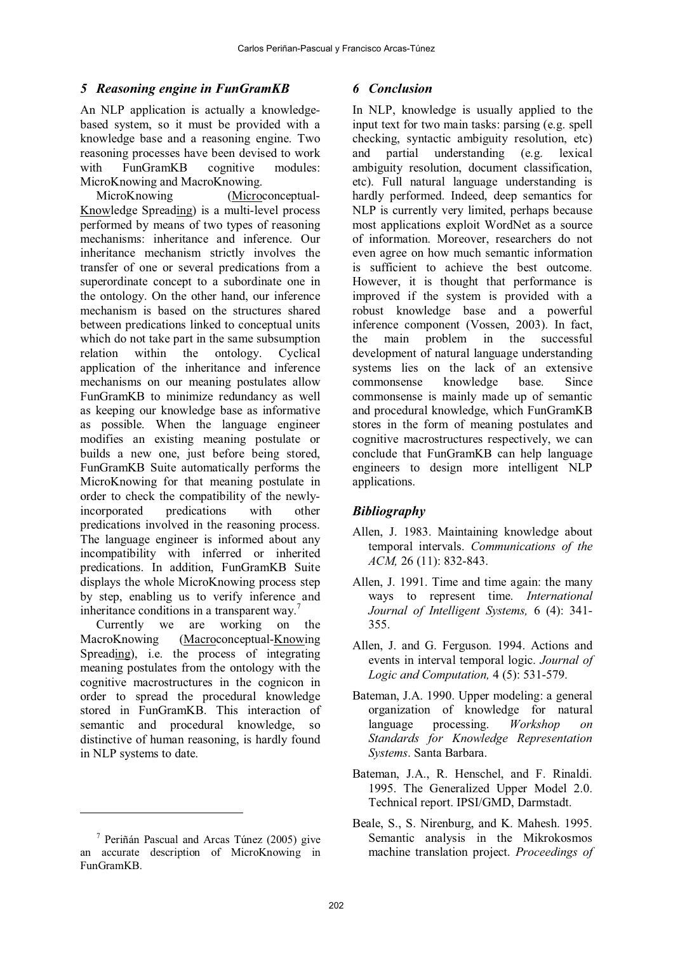### *5 Reasoning engine in FunGramKB*

An NLP application is actually a knowledgebased system, so it must be provided with a knowledge base and a reasoning engine. Two reasoning processes have been devised to work with FunGramKB cognitive modules: MicroKnowing and MacroKnowing.

MicroKnowing (Microconceptual-Knowledge Spreading) is a multi-level process performed by means of two types of reasoning mechanisms: inheritance and inference. Our inheritance mechanism strictly involves the transfer of one or several predications from a superordinate concept to a subordinate one in the ontology. On the other hand, our inference mechanism is based on the structures shared between predications linked to conceptual units which do not take part in the same subsumption relation within the ontology. Cyclical application of the inheritance and inference mechanisms on our meaning postulates allow FunGramKB to minimize redundancy as well as keeping our knowledge base as informative as possible. When the language engineer modifies an existing meaning postulate or builds a new one, just before being stored, FunGramKB Suite automatically performs the MicroKnowing for that meaning postulate in order to check the compatibility of the newlyincorporated predications with other predications involved in the reasoning process. The language engineer is informed about any incompatibility with inferred or inherited predications. In addition, FunGramKB Suite displays the whole MicroKnowing process step by step, enabling us to verify inference and inheritance conditions in a transparent way.<sup>7</sup>

Currently we are working on the MacroKnowing (Macroconceptual-Knowing Spreading), i.e. the process of integrating meaning postulates from the ontology with the cognitive macrostructures in the cognicon in order to spread the procedural knowledge stored in FunGramKB. This interaction of semantic and procedural knowledge, so distinctive of human reasoning, is hardly found in NLP systems to date.

# *6 Conclusion*

In NLP, knowledge is usually applied to the input text for two main tasks: parsing (e.g. spell checking, syntactic ambiguity resolution, etc) and partial understanding (e.g. lexical ambiguity resolution, document classification, etc). Full natural language understanding is hardly performed. Indeed, deep semantics for NLP is currently very limited, perhaps because most applications exploit WordNet as a source of information. Moreover, researchers do not even agree on how much semantic information is sufficient to achieve the best outcome. However, it is thought that performance is improved if the system is provided with a robust knowledge base and a powerful inference component (Vossen, 2003). In fact, the main problem in the successful development of natural language understanding systems lies on the lack of an extensive commonsense knowledge base. Since commonsense is mainly made up of semantic and procedural knowledge, which FunGramKB stores in the form of meaning postulates and cognitive macrostructures respectively, we can conclude that FunGramKB can help language engineers to design more intelligent NLP applications.

# *Bibliography*

- Allen, J. 1983. Maintaining knowledge about temporal intervals. *Communications of the ACM,* 26 (11): 832-843.
- Allen, J. 1991. Time and time again: the many ways to represent time. *International Journal of Intelligent Systems,* 6 (4): 341- 355.
- Allen, J. and G. Ferguson. 1994. Actions and events in interval temporal logic. *Journal of Logic and Computation,* 4 (5): 531-579.
- Bateman, J.A. 1990. Upper modeling: a general organization of knowledge for natural language processing. *Workshop on Standards for Knowledge Representation Systems*. Santa Barbara.
- Bateman, J.A., R. Henschel, and F. Rinaldi. 1995. The Generalized Upper Model 2.0. Technical report. IPSI/GMD, Darmstadt.
- Beale, S., S. Nirenburg, and K. Mahesh. 1995. Semantic analysis in the Mikrokosmos machine translation project. *Proceedings of*

<sup>7</sup> Periñán Pascual and Arcas Túnez (2005) give an accurate description of MicroKnowing in FunGramKB.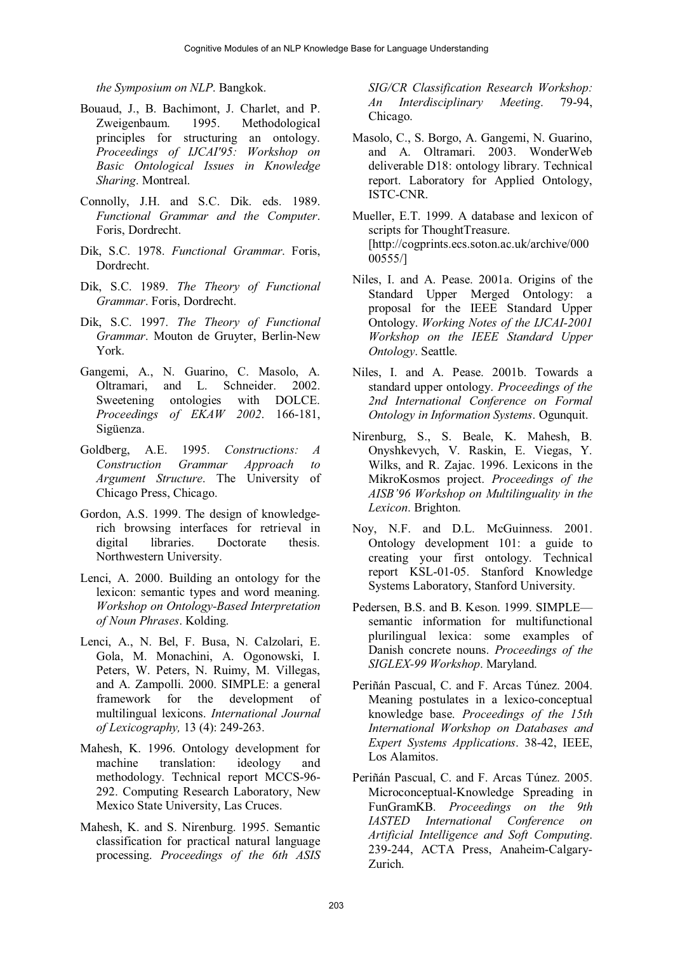#### *the Symposium on NLP*. Bangkok.

- Bouaud, J., B. Bachimont, J. Charlet, and P. Zweigenbaum. 1995. Methodological principles for structuring an ontology. *Proceedings of IJCAI'95: Workshop on Basic Ontological Issues in Knowledge Sharing*. Montreal.
- Connolly, J.H. and S.C. Dik. eds. 1989. *Functional Grammar and the Computer*. Foris, Dordrecht.
- Dik, S.C. 1978. *Functional Grammar*. Foris, Dordrecht.
- Dik, S.C. 1989. *The Theory of Functional Grammar*. Foris, Dordrecht.
- Dik, S.C. 1997. *The Theory of Functional Grammar*. Mouton de Gruyter, Berlin-New York.
- Gangemi, A., N. Guarino, C. Masolo, A. Oltramari, and L. Schneider. 2002. Sweetening ontologies with DOLCE. *Proceedings of EKAW 2002*. 166-181, Sigüenza.
- Goldberg, A.E. 1995. *Constructions: A Construction Grammar Approach to Argument Structure*. The University of Chicago Press, Chicago.
- Gordon, A.S. 1999. The design of knowledgerich browsing interfaces for retrieval in digital libraries. Doctorate thesis. Northwestern University.
- Lenci, A. 2000. Building an ontology for the lexicon: semantic types and word meaning. *Workshop on Ontology-Based Interpretation of Noun Phrases*. Kolding.
- Lenci, A., N. Bel, F. Busa, N. Calzolari, E. Gola, M. Monachini, A. Ogonowski, I. Peters, W. Peters, N. Ruimy, M. Villegas, and A. Zampolli. 2000. SIMPLE: a general framework for the development of multilingual lexicons. *International Journal of Lexicography,* 13 (4): 249-263.
- Mahesh, K. 1996. Ontology development for machine translation: ideology and methodology. Technical report MCCS-96- 292. Computing Research Laboratory, New Mexico State University, Las Cruces.
- Mahesh, K. and S. Nirenburg. 1995. Semantic classification for practical natural language processing. *Proceedings of the 6th ASIS*

*SIG/CR Classification Research Workshop: An Interdisciplinary Meeting*. 79-94, Chicago.

- Masolo, C., S. Borgo, A. Gangemi, N. Guarino, and A. Oltramari. 2003. WonderWeb deliverable D18: ontology library. Technical report. Laboratory for Applied Ontology, ISTC-CNR.
- Mueller, E.T. 1999. A database and lexicon of scripts for ThoughtTreasure. [http://cogprints.ecs.soton.ac.uk/archive/000 00555/]
- Niles, I. and A. Pease. 2001a. Origins of the Standard Upper Merged Ontology: a proposal for the IEEE Standard Upper Ontology. *Working Notes of the IJCAI-2001 Workshop on the IEEE Standard Upper Ontology*. Seattle.
- Niles, I. and A. Pease. 2001b. Towards a standard upper ontology. *Proceedings of the 2nd International Conference on Formal Ontology in Information Systems*. Ogunquit.
- Nirenburg, S., S. Beale, K. Mahesh, B. Onyshkevych, V. Raskin, E. Viegas, Y. Wilks, and R. Zajac. 1996. Lexicons in the MikroKosmos project. *Proceedings of the AISB'96 Workshop on Multilinguality in the Lexicon*. Brighton.
- Noy, N.F. and D.L. McGuinness. 2001. Ontology development 101: a guide to creating your first ontology. Technical report KSL-01-05. Stanford Knowledge Systems Laboratory, Stanford University.
- Pedersen, B.S. and B. Keson. 1999. SIMPLE semantic information for multifunctional plurilingual lexica: some examples of Danish concrete nouns. *Proceedings of the SIGLEX-99 Workshop*. Maryland.
- Periñán Pascual, C. and F. Arcas Túnez. 2004. Meaning postulates in a lexico-conceptual knowledge base. *Proceedings of the 15th International Workshop on Databases and Expert Systems Applications*. 38-42, IEEE, Los Alamitos.
- Periñán Pascual, C. and F. Arcas Túnez. 2005. Microconceptual-Knowledge Spreading in FunGramKB. *Proceedings on the 9th IASTED International Conference on Artificial Intelligence and Soft Computing*. 239-244, ACTA Press, Anaheim-Calgary-Zurich.